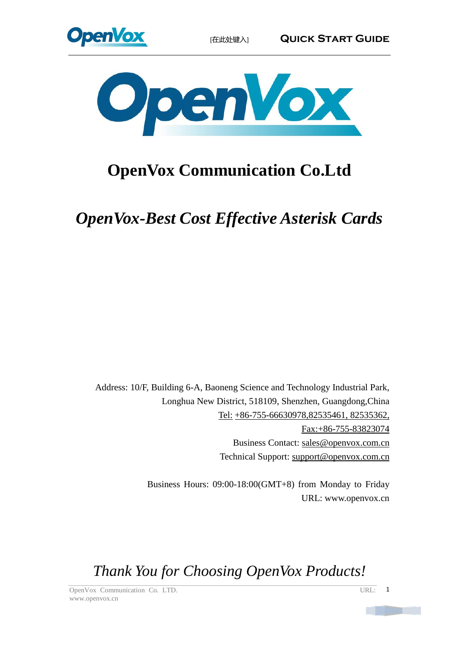



# **OpenVox Communication Co.Ltd**

*OpenVox-Best Cost Effective Asterisk Cards*

Address: 10/F, Building 6-A, Baoneng Science and Technology Industrial Park, Longhua New District, 518109, Shenzhen, Guangdong,China Tel: +86-755-66630978,82535461, 82535362, Fax:+86-755-83823074 Business Contact: sales@openvox.com.cn Technical Support: [support@openvox.com.cn](mailto:support@openvox.com.cn)

> Business Hours: 09:00-18:00(GMT+8) from Monday to Friday URL: www.openvox.cn

*Thank You for Choosing OpenVox Products!*

OpenVox Communication Co. LTD. URL: www.openvox.cn

1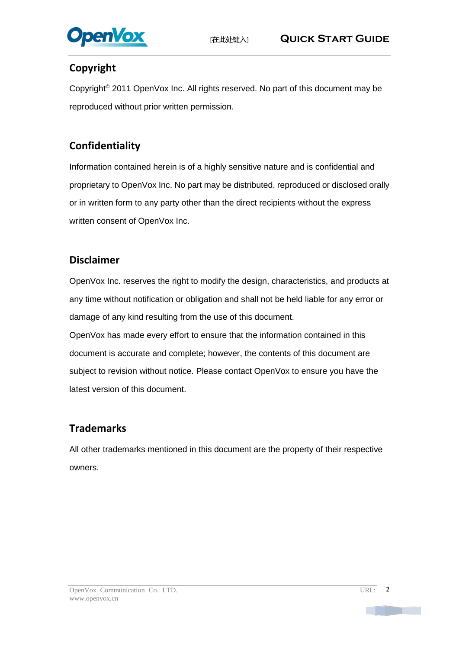

### **Copyright**

Copyright© 2011 OpenVox Inc. All rights reserved. No part of this document may be reproduced without prior written permission.

### **Confidentiality**

Information contained herein is of a highly sensitive nature and is confidential and proprietary to OpenVox Inc. No part may be distributed, reproduced or disclosed orally or in written form to any party other than the direct recipients without the express written consent of OpenVox Inc.

#### **Disclaimer**

OpenVox Inc. reserves the right to modify the design, characteristics, and products at any time without notification or obligation and shall not be held liable for any error or damage of any kind resulting from the use of this document.

OpenVox has made every effort to ensure that the information contained in this document is accurate and complete; however, the contents of this document are subject to revision without notice. Please contact OpenVox to ensure you have the latest version of this document.

#### **Trademarks**

All other trademarks mentioned in this document are the property of their respective owners.

 $\overline{2}$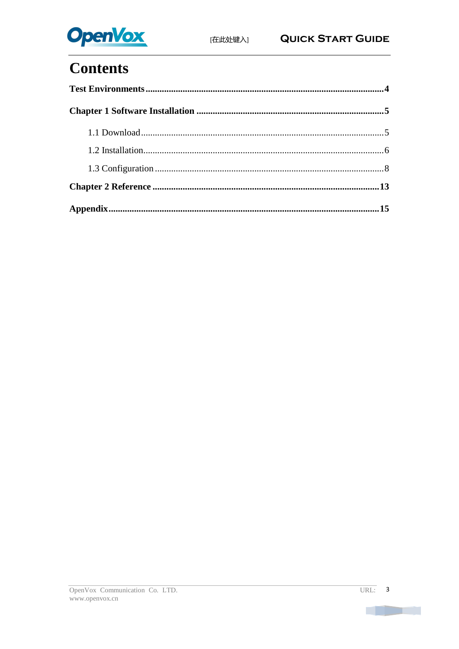

# **Contents**

n T

<u>in Tu</u>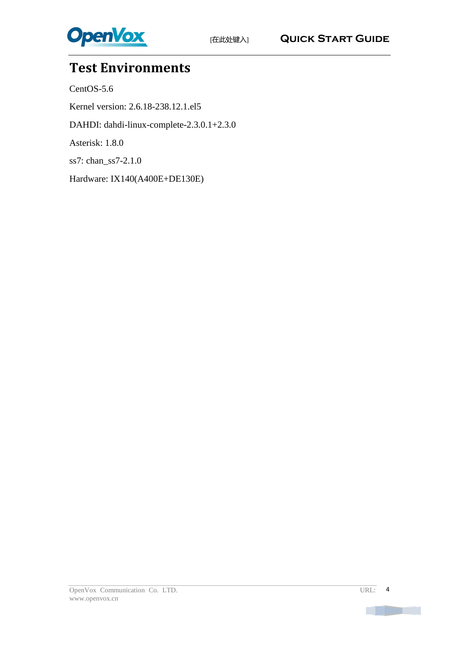

## <span id="page-3-0"></span>**Test Environments**

CentOS-5.6

Kernel version: 2.6.18-238.12.1.el5

DAHDI: dahdi-linux-complete-2.3.0.1+2.3.0

Asterisk: 1.8.0

ss7: chan\_ss7-2.1.0

Hardware: IX140(A400E+DE130E)

m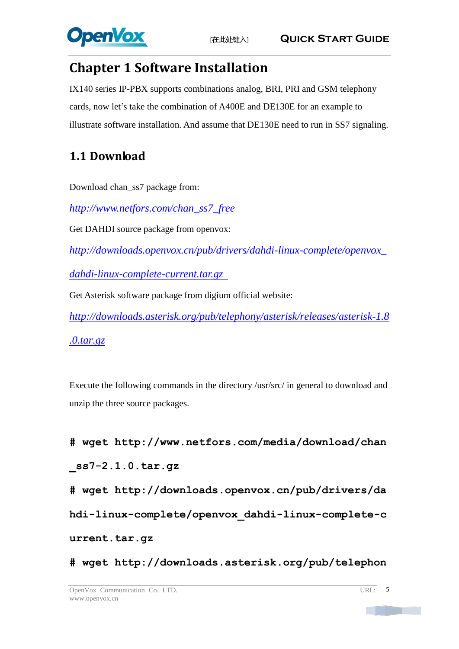

## <span id="page-4-0"></span>**Chapter 1 Software Installation**

IX140 series IP-PBX supports combinations analog, BRI, PRI and GSM telephony cards, now let's take the combination of A400E and DE130E for an example to illustrate software installation. And assume that DE130E need to run in SS7 signaling.

## <span id="page-4-1"></span>**1.1 Download**

Download chan\_ss7 package from:

*[http://www.netfors.com/chan\\_ss7\\_free](http://www.netfors.com/chan_ss7_free)*

Get DAHDI source package from openvox:

*http://downloads.openvox.cn/pub/drivers/dahdi-linux-complete/openvox\_*

*dahdi-linux-complete-current.tar.gz*

Get Asterisk software package from digium official website:

*[http://downloads.asterisk.org/pub/telephony/asterisk/releases/a](http://downloads.asterisk.org/pub/telephony/asterisk/releases/)sterisk-1.8*

*.0.tar.gz*

Execute the following commands in the directory /usr/src/ in general to download and unzip the three source packages.

**#\_wget\_http://www.netfors.com/media/download/chan \_ss7-2.1.0.tar.gz #\_wget\_http://downloads.openvox.cn/pub/drivers/da**

**hdi-linux-complete/openvox\_dahdi-linux-complete-c**

**urrent.tar.gz** 

**#\_wget[\\_http://downloads.asterisk.org/pub/telephon](http://downloads.asterisk.org/pub/telephony/asterisk/releases/)**

mar.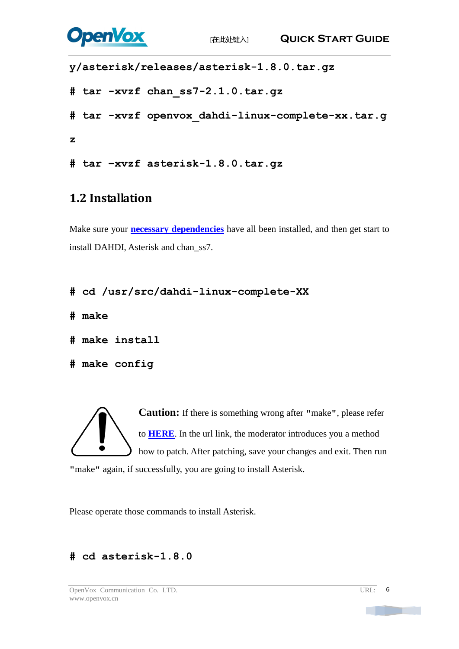

```
y/asterisk/releases/asterisk-1.8.0.tar.gz
# tar_-xvzf chan_ss7-2.1.0.tar.gz
#_tar_-xvzf_openvox_dahdi-linux-complete-xx.tar.g
z
# tar –xvzf asterisk-1.8.0.tar.gz
```
### <span id="page-5-0"></span>**1.2 Installation**

Make sure your **[necessary dependencies](#page-14-0)** have all been installed, and then get start to install DAHDI, Asterisk and chan\_ss7.

```
# cd /usr/src/dahdi-linux-complete-XX
```
**# make**

**# make install** 

```
# make config
```
**Caution:** If there is something wrong after **"**make**"**, please refer to **[HERE](http://bbs.openvox.cn/viewthread.php?tid=1557&extra=page%3D1)**. In the url link, the moderator introduces you a method how to patch. After patching, save your changes and exit. Then run **"**make**"** again, if successfully, you are going to install Asterisk.

Please operate those commands to install Asterisk.

### **# cd asterisk-1.8.0**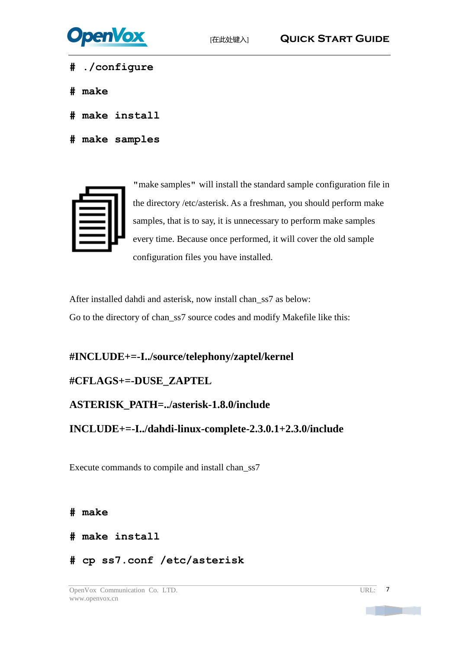

- **# ./configure**
- **# make**
- **# make install**
- **# make samples**



**"**make samples**"** will install the standard sample [configuration](http://www.voip-info.org/wiki/view/Asterisk+config+files) file in the directory /etc/asterisk. As a freshman, you should perform make samples, that is to say, it is unnecessary to perform make samples every time. Because once performed, it will cover the old sample configuration files you have installed.

After installed dahdi and asterisk, now install chan\_ss7 as below: Go to the directory of chan\_ss7 source codes and modify Makefile like this:

**#INCLUDE+=-I../source/telephony/zaptel/kernel**

#### **#CFLAGS+=-DUSE\_ZAPTEL**

#### **ASTERISK\_PATH=../asterisk-1.8.0/include**

**INCLUDE+=-I../dahdi-linux-complete-2.3.0.1+2.3.0/include**

Execute commands to compile and install chan\_ss7

**# make**

- **# make install**
- **# cp ss7.conf /etc/asterisk**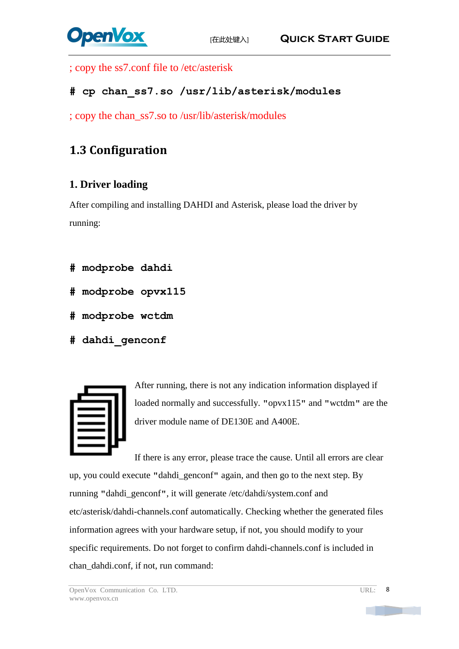

; copy the ss7.conf file to /etc/asterisk

### **# cp chan\_ss7.so /usr/lib/asterisk/modules**

; copy the chan\_ss7.so to /usr/lib/asterisk/modules

### <span id="page-7-0"></span>**1.3 Configuration**

### **1. Driver loading**

After compiling and installing DAHDI and Asterisk, please load the driver by running:

- **# modprobe dahdi**
- **# modprobe opvx115**
- **# modprobe wctdm**
- **# dahdi\_genconf**



After running, there is not any indication information displayed if loaded normally and successfully. **"**opvx115**"** and **"**wctdm**"** are the driver module name of DE130E and A400E.

If there is any error, please trace the cause. Until all errors are clear up, you could execute **"**dahdi\_genconf**"** again, and then go to the next step. By running **"**dahdi\_genconf**"**, it will generate /etc/dahdi/system.conf and etc/asterisk/dahdi-channels.conf automatically. Checking whether the generated files information agrees with your hardware setup, if not, you should modify to your specific requirements. Do not forget to confirm dahdi-channels.conf is included in chan\_dahdi.conf, if not, run command: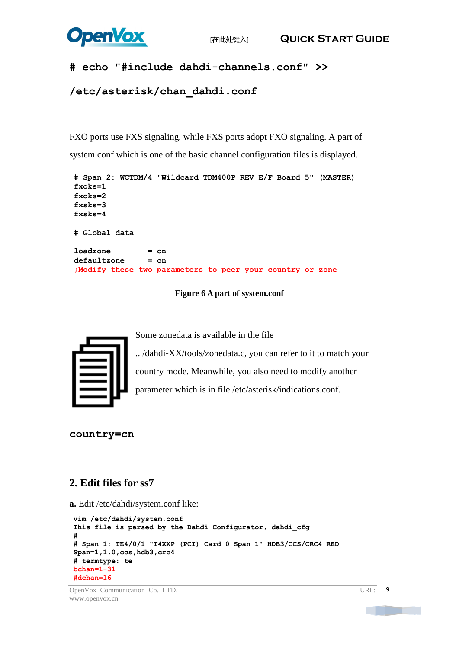

#### **# echo "#include dahdi-channels.conf" >>**

```
/etc/asterisk/chan_dahdi.conf
```
FXO ports use FXS signaling, while FXS ports adopt FXO signaling. A part of system.conf which is one of the basic channel configuration files is displayed.

```
# Span 2: WCTDM/4 "Wildcard TDM400P REV E/F Board 5" (MASTER) fxoks=1 fxoks=2 fxsks=3 fxsks=4 # Global data loadzone = cn defaultzone = cn ;Modify these two parameters to peer your country or zone
```
**Figure 6 A part of system.conf**



Some zonedata is available in the file

.. /dahdi-XX/tools/zonedata.c, you can refer to it to match your country mode. Meanwhile, you also need to modify another parameter which is in file /etc/asterisk/indications.conf.

**country=cn**

#### **2. Edit files for ss7**

**a.** Edit /etc/dahdi/system.conf like:

```
vim /etc/dahdi/system.conf This file is parsed by the Dahdi Configurator, dahdi_cfg
#
# Span 1: TE4/0/1 "T4XXP (PCI) Card 0 Span 1" HDB3/CCS/CRC4 RED Span=1,1,0,ccs,hdb3,crc4
# termtype: te bchan=1-31
#dchan=16
```
OpenVox Communication Co. LTD. URL: www.openvox.cn

 $\overline{q}$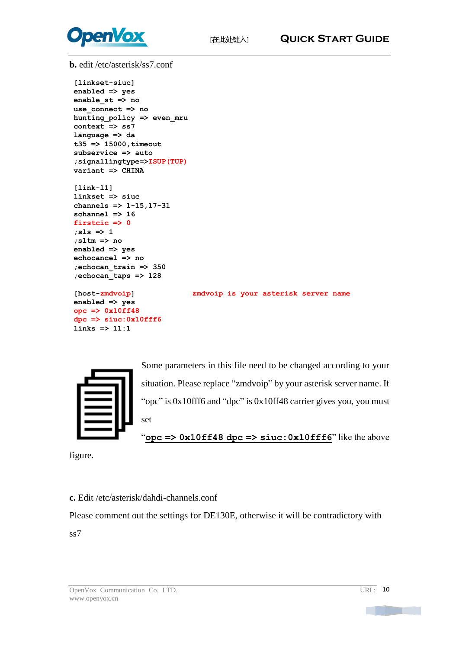

**b.** edit /etc/asterisk/ss7.conf

**[linkset-siuc] enabled => yes enable\_st => no use\_connec<sup>t</sup> => no hunting\_policy => even\_mru context => ss7 language => da t35 => 15000,timeout subservice => auto ;signallingtype=>ISUP(TUP) variant => CHINA**

```
[link-l1] linkset => siuc channels => 1-15,17-31 schannel => 16 firstcic => 0 ;sls => 1 ;sltm => no enabled => yes echocancel => no ;echocan_train => 350 ;echocan_taps => 128
```

```
enabled => yes opc => 0x10ff48 dpc => siuc:0x10fff6 links => l1:1
```
**[host-zmdvoip] zmdvoip is your asterisk server name**



Some parameters in this file need to be changed according to your situation. Please replace "zmdvoip" by your asterisk server name. If "opc" is 0x10fff6 and "dpc" is 0x10ff48 carrier gives you, you must set

"**opc => 0x10ff48 dpc => siuc:0x10fff6**" like the above

figure.

**c.** Edit /etc/asterisk/dahdi-channels.conf

Please comment out the settings for DE130E, otherwise it will be contradictory with ss7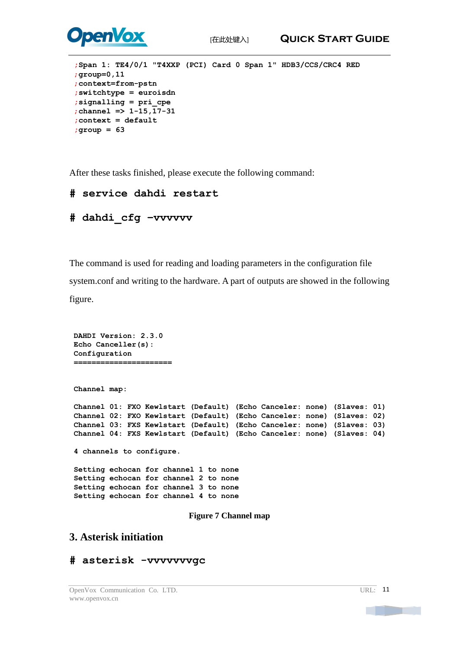

```
;Span 1: TE4/0/1 "T4XXP (PCI) Card 0 Span 1" HDB3/CCS/CRC4 RED ;group=0,11 ;context=from-pstn ;switchtype = euroisdn ;signalling = pri_cpe ;channel => 1-15,17-31 ;context = default ;group = 63
```
After these tasks finished, please execute the following command:

```
# service dahdi restart
```

```
# dahdi_cfg –vvvvvv
```
The command is used for reading and loading parameters in the configuration file system.conf and writing to the hardware. A part of outputs are showed in the following figure.

```
DAHDI Version: 2.3.0 Echo Canceller(s): Configuration ======================Channel map: Channel 01: FXO Kewlstart (Default) (Echo Canceler: none) (Slaves: 01) Channel 02: FXO Kewlstart (Default) (Echo Canceler: none) (Slaves: 02) Channel 03: FXS Kewlstart (Default) (Echo Canceler: none) (Slaves: 03) Channel 04: FXS Kewlstart (Default) (Echo Canceler: none) (Slaves: 04) 4 channels to configure. Setting echocan for channel 1 to none Setting echocan for channel 2 to none Setting echocan for channel 3 to none Setting echocan for channel 4 to none Figure 7 Channel map
```
#### **3. Asterisk initiation**

#### **# asterisk -vvvvvvvgc**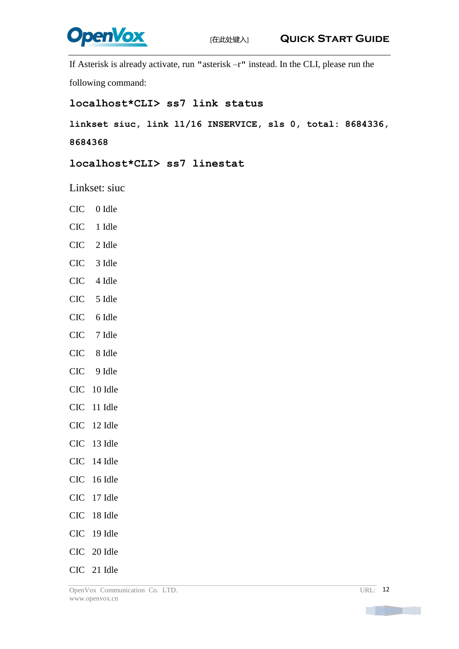

If Asterisk is already activate, run **"**asterisk –r**"** instead. In the CLI, please run the

following command:

#### **localhost\*CLI> ss7 link status**

**linkset siuc, link l1/16 INSERVICE, sls 0, total: 8684336,** 

**8684368**

**localhost\*CLI> ss7 linestat**

Linkset: siuc

- CIC 0 Idle
- CIC 1 Idle
- CIC 2 Idle
- CIC 3 Idle
- CIC 4 Idle
- CIC 5 Idle
- CIC 6 Idle
- CIC 7 Idle
- CIC 8 Idle
- CIC 9 Idle
- CIC 10 Idle
- CIC 11 Idle
- CIC 12 Idle
- CIC 13 Idle
- CIC 14 Idle
- CIC 16 Idle
- CIC 17 Idle
- CIC 18 Idle
- CIC 19 Idle
- CIC 20 Idle
- CIC 21 Idle

**The Common**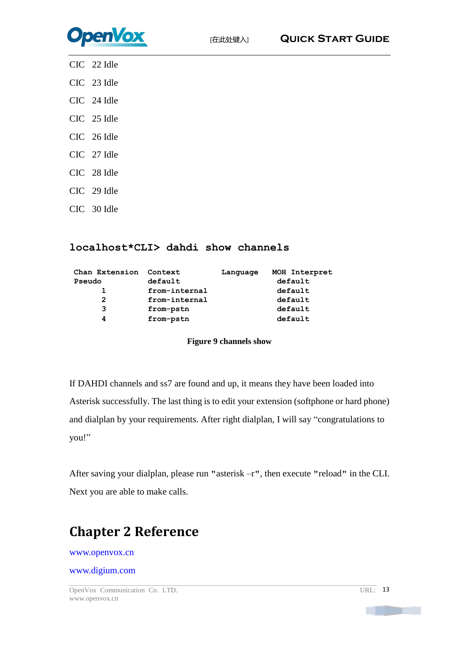

- CIC 22 Idle
- CIC 23 Idle
- CIC 24 Idle
- CIC 25 Idle
- CIC 26 Idle
- CIC 27 Idle
- CIC 28 Idle
- CIC 29 Idle
- CIC 30 Idle

#### **localhost\*CLI> dahdi show channels**

| Context       | Language | MOH Interpret |
|---------------|----------|---------------|
| default       |          | default       |
| from-internal |          | default       |
| from-internal |          | default       |
| from-pstn     |          | default       |
| from-pstn     |          | default       |
|               |          |               |

#### **Figure 9 channels show**

If DAHDI channels and ss7 are found and up, it means they have been loaded into Asterisk successfully. The last thing is to edit your extension (softphone or hard phone) and dialplan by your requirements. After right dialplan, I will say "congratulations to you!"

After saving your dialplan, please run **"**asterisk –r**"**, then execute **"**reload**"** in the CLI. Next you are able to make calls.

## <span id="page-12-0"></span>**Chapter 2 Reference**

#### [www.openvox.cn](http://www.openvox.cn/)

#### [www.digium.com](http://www.digium.com/)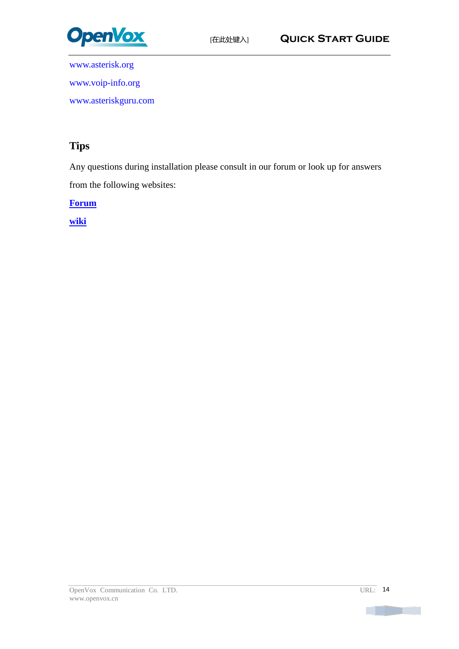

[www.asterisk.org](http://www.asterisk.org/) [www.voip-info.org](http://www.voip-info.org/)

[www.asteriskguru.com](http://www.asteriskguru.com/)

### **Tips**

Any questions during installation please consult in our forum or look up for answers from the following websites:

**[Forum](http://bbs.openvox.cn/)**

**[wiki](http://wiki.openvox.cn/index.php/%E9%A6%96%E9%A1%B5)**